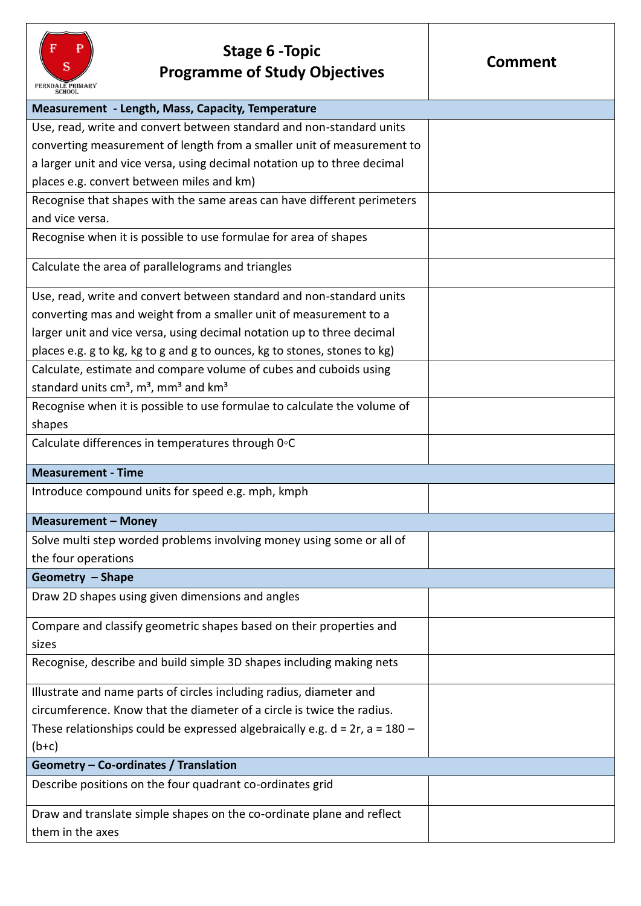

## **Stage 6 -Topic Programme of Study Objectives**

| <b>Measurement - Length, Mass, Capacity, Temperature</b>                         |  |
|----------------------------------------------------------------------------------|--|
| Use, read, write and convert between standard and non-standard units             |  |
| converting measurement of length from a smaller unit of measurement to           |  |
| a larger unit and vice versa, using decimal notation up to three decimal         |  |
| places e.g. convert between miles and km)                                        |  |
| Recognise that shapes with the same areas can have different perimeters          |  |
| and vice versa.                                                                  |  |
| Recognise when it is possible to use formulae for area of shapes                 |  |
| Calculate the area of parallelograms and triangles                               |  |
| Use, read, write and convert between standard and non-standard units             |  |
| converting mas and weight from a smaller unit of measurement to a                |  |
| larger unit and vice versa, using decimal notation up to three decimal           |  |
| places e.g. g to kg, kg to g and g to ounces, kg to stones, stones to kg)        |  |
| Calculate, estimate and compare volume of cubes and cuboids using                |  |
| standard units $cm3$ , $m3$ , mm <sup>3</sup> and km <sup>3</sup>                |  |
| Recognise when it is possible to use formulae to calculate the volume of         |  |
| shapes                                                                           |  |
| Calculate differences in temperatures through 0°C                                |  |
| <b>Measurement - Time</b>                                                        |  |
| Introduce compound units for speed e.g. mph, kmph                                |  |
| <b>Measurement - Money</b>                                                       |  |
| Solve multi step worded problems involving money using some or all of            |  |
| the four operations                                                              |  |
| Geometry - Shape                                                                 |  |
| Draw 2D shapes using given dimensions and angles                                 |  |
| Compare and classify geometric shapes based on their properties and              |  |
| sizes                                                                            |  |
| Recognise, describe and build simple 3D shapes including making nets             |  |
| Illustrate and name parts of circles including radius, diameter and              |  |
| circumference. Know that the diameter of a circle is twice the radius.           |  |
| These relationships could be expressed algebraically e.g. $d = 2r$ , $a = 180 -$ |  |
| $(b+c)$                                                                          |  |
| Geometry - Co-ordinates / Translation                                            |  |
| Describe positions on the four quadrant co-ordinates grid                        |  |
| Draw and translate simple shapes on the co-ordinate plane and reflect            |  |
| them in the axes                                                                 |  |
|                                                                                  |  |